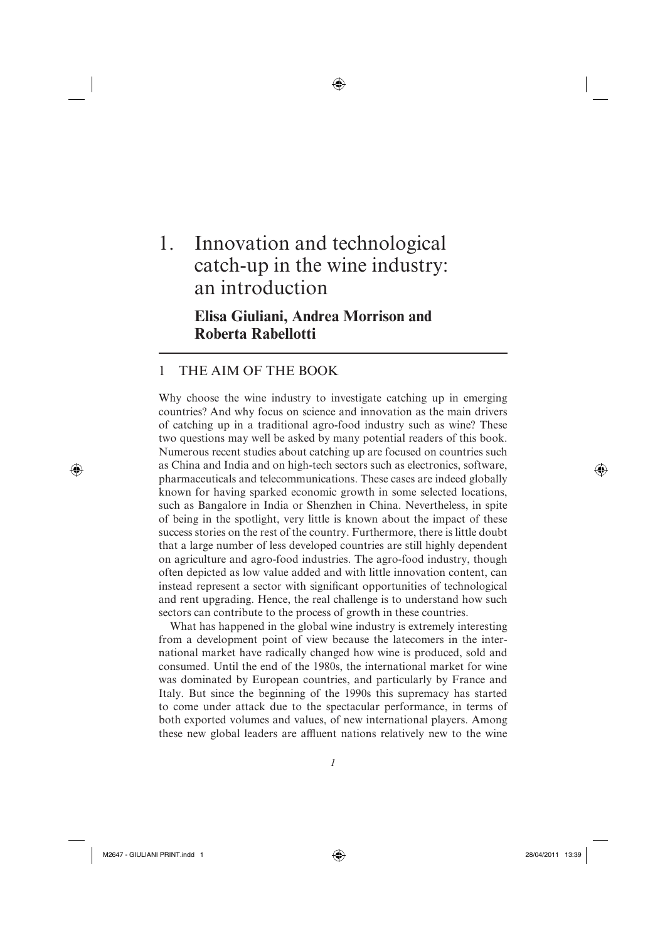# 1. Innovation and technological catch-up in the wine industry: an introduction

## **Elisa Giuliani, Andrea Morrison and Roberta Rabellotti**

### 1 THE AIM OF THE BOOK

 $\Box$ 

⊕

Why choose the wine industry to investigate catching up in emerging countries? And why focus on science and innovation as the main drivers of catching up in a traditional agro-food industry such as wine? These two questions may well be asked by many potential readers of this book. Numerous recent studies about catching up are focused on countries such as China and India and on high-tech sectors such as electronics, software, pharmaceuticals and telecommunications. These cases are indeed globally known for having sparked economic growth in some selected locations, such as Bangalore in India or Shenzhen in China. Nevertheless, in spite of being in the spotlight, very little is known about the impact of these success stories on the rest of the country. Furthermore, there is little doubt that a large number of less developed countries are still highly dependent on agriculture and agro-food industries. The agro-food industry, though often depicted as low value added and with little innovation content, can instead represent a sector with significant opportunities of technological and rent upgrading. Hence, the real challenge is to understand how such sectors can contribute to the process of growth in these countries.

What has happened in the global wine industry is extremely interesting from a development point of view because the latecomers in the international market have radically changed how wine is produced, sold and consumed. Until the end of the 1980s, the international market for wine was dominated by European countries, and particularly by France and Italy. But since the beginning of the 1990s this supremacy has started to come under attack due to the spectacular performance, in terms of both exported volumes and values, of new international players. Among these new global leaders are affluent nations relatively new to the wine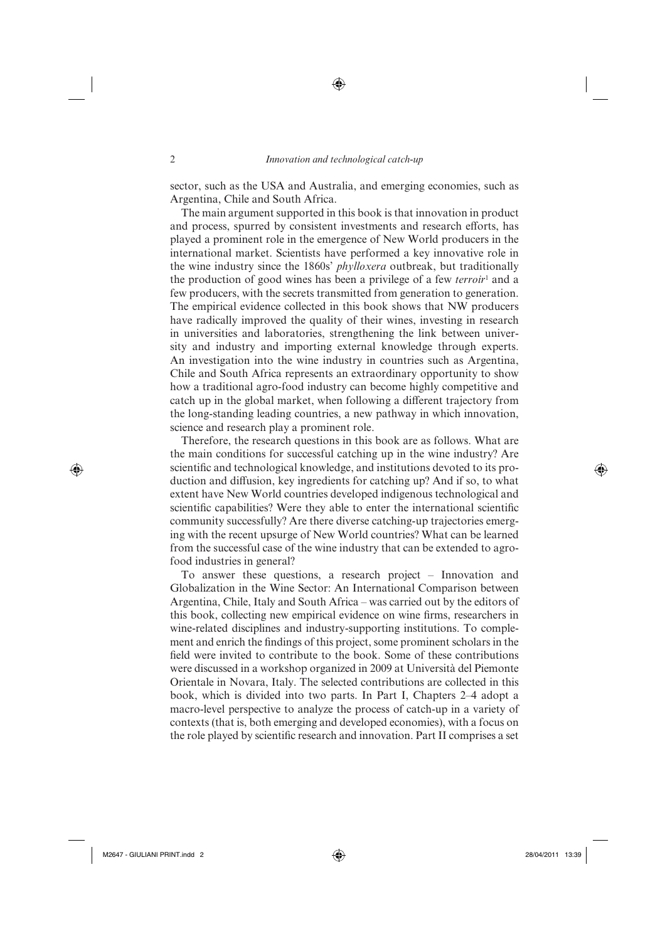sector, such as the USA and Australia, and emerging economies, such as Argentina, Chile and South Africa.

The main argument supported in this book is that innovation in product and process, spurred by consistent investments and research efforts, has played a prominent role in the emergence of New World producers in the international market. Scientists have performed a key innovative role in the wine industry since the 1860s' *phylloxera* outbreak, but traditionally the production of good wines has been a privilege of a few *terroir*<sup>1</sup> and a few producers, with the secrets transmitted from generation to generation. The empirical evidence collected in this book shows that NW producers have radically improved the quality of their wines, investing in research in universities and laboratories, strengthening the link between university and industry and importing external knowledge through experts. An investigation into the wine industry in countries such as Argentina, Chile and South Africa represents an extraordinary opportunity to show how a traditional agro-food industry can become highly competitive and catch up in the global market, when following a different trajectory from the long-standing leading countries, a new pathway in which innovation, science and research play a prominent role.

Therefore, the research questions in this book are as follows. What are the main conditions for successful catching up in the wine industry? Are scientific and technological knowledge, and institutions devoted to its production and diffusion, key ingredients for catching up? And if so, to what extent have New World countries developed indigenous technological and scientific capabilities? Were they able to enter the international scientific community successfully? Are there diverse catching-up trajectories emerging with the recent upsurge of New World countries? What can be learned from the successful case of the wine industry that can be extended to agrofood industries in general?

To answer these questions, a research project – Innovation and Globalization in the Wine Sector: An International Comparison between Argentina, Chile, Italy and South Africa – was carried out by the editors of this book, collecting new empirical evidence on wine firms, researchers in wine-related disciplines and industry-supporting institutions. To complement and enrich the findings of this project, some prominent scholars in the field were invited to contribute to the book. Some of these contributions were discussed in a workshop organized in 2009 at Università del Piemonte Orientale in Novara, Italy. The selected contributions are collected in this book, which is divided into two parts. In Part I, Chapters 2–4 adopt a macro-level perspective to analyze the process of catch-up in a variety of contexts (that is, both emerging and developed economies), with a focus on the role played by scientific research and innovation. Part II comprises a set

⊕

 $\mathscr{L}$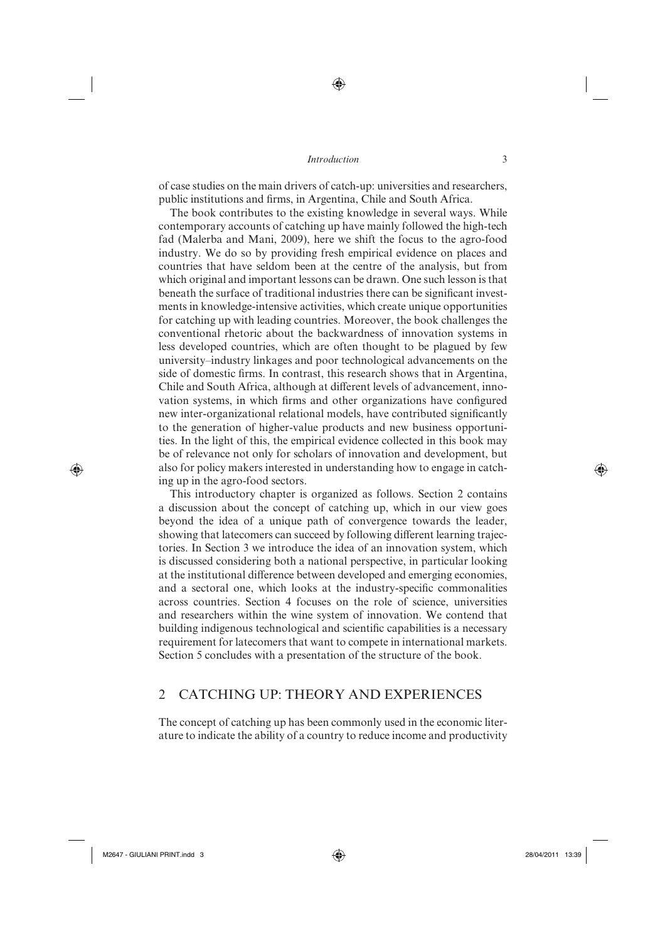$\mathscr{L}$ 

of case studies on the main drivers of catch-up: universities and researchers, public institutions and firms, in Argentina, Chile and South Africa.

The book contributes to the existing knowledge in several ways. While contemporary accounts of catching up have mainly followed the high-tech fad (Malerba and Mani, 2009), here we shift the focus to the agro-food industry. We do so by providing fresh empirical evidence on places and countries that have seldom been at the centre of the analysis, but from which original and important lessons can be drawn. One such lesson is that beneath the surface of traditional industries there can be significant investments in knowledge-intensive activities, which create unique opportunities for catching up with leading countries. Moreover, the book challenges the conventional rhetoric about the backwardness of innovation systems in less developed countries, which are often thought to be plagued by few university–industry linkages and poor technological advancements on the side of domestic firms. In contrast, this research shows that in Argentina, Chile and South Africa, although at different levels of advancement, innovation systems, in which firms and other organizations have configured new inter-organizational relational models, have contributed significantly to the generation of higher-value products and new business opportunities. In the light of this, the empirical evidence collected in this book may be of relevance not only for scholars of innovation and development, but also for policy makers interested in understanding how to engage in catching up in the agro-food sectors.

This introductory chapter is organized as follows. Section 2 contains a discussion about the concept of catching up, which in our view goes beyond the idea of a unique path of convergence towards the leader, showing that latecomers can succeed by following different learning trajectories. In Section 3 we introduce the idea of an innovation system, which is discussed considering both a national perspective, in particular looking at the institutional difference between developed and emerging economies, and a sectoral one, which looks at the industry-specific commonalities across countries. Section 4 focuses on the role of science, universities and researchers within the wine system of innovation. We contend that building indigenous technological and scientific capabilities is a necessary requirement for latecomers that want to compete in international markets. Section 5 concludes with a presentation of the structure of the book.

## 2 CATCHING UP: THEORY AND EXPERIENCES

The concept of catching up has been commonly used in the economic literature to indicate the ability of a country to reduce income and productivity

⊕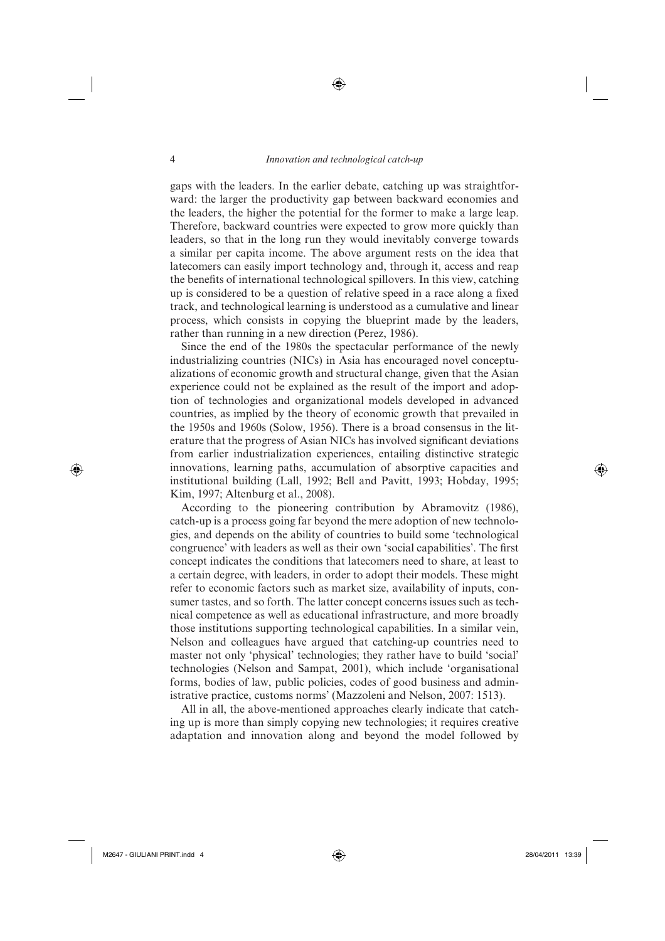$\mathscr{L}$ 

gaps with the leaders. In the earlier debate, catching up was straightforward: the larger the productivity gap between backward economies and the leaders, the higher the potential for the former to make a large leap. Therefore, backward countries were expected to grow more quickly than leaders, so that in the long run they would inevitably converge towards a similar per capita income. The above argument rests on the idea that latecomers can easily import technology and, through it, access and reap the benefits of international technological spillovers. In this view, catching up is considered to be a question of relative speed in a race along a fixed track, and technological learning is understood as a cumulative and linear process, which consists in copying the blueprint made by the leaders, rather than running in a new direction (Perez, 1986).

Since the end of the 1980s the spectacular performance of the newly industrializing countries (NICs) in Asia has encouraged novel conceptualizations of economic growth and structural change, given that the Asian experience could not be explained as the result of the import and adoption of technologies and organizational models developed in advanced countries, as implied by the theory of economic growth that prevailed in the 1950s and 1960s (Solow, 1956). There is a broad consensus in the literature that the progress of Asian NICs has involved significant deviations from earlier industrialization experiences, entailing distinctive strategic innovations, learning paths, accumulation of absorptive capacities and institutional building (Lall, 1992; Bell and Pavitt, 1993; Hobday, 1995; Kim, 1997; Altenburg et al., 2008).

According to the pioneering contribution by Abramovitz (1986), catch-up is a process going far beyond the mere adoption of new technologies, and depends on the ability of countries to build some 'technological congruence' with leaders as well as their own 'social capabilities'. The first concept indicates the conditions that latecomers need to share, at least to a certain degree, with leaders, in order to adopt their models. These might refer to economic factors such as market size, availability of inputs, consumer tastes, and so forth. The latter concept concerns issues such as technical competence as well as educational infrastructure, and more broadly those institutions supporting technological capabilities. In a similar vein, Nelson and colleagues have argued that catching-up countries need to master not only 'physical' technologies; they rather have to build 'social' technologies (Nelson and Sampat, 2001), which include 'organisational forms, bodies of law, public policies, codes of good business and administrative practice, customs norms' (Mazzoleni and Nelson, 2007: 1513).

All in all, the above-mentioned approaches clearly indicate that catching up is more than simply copying new technologies; it requires creative adaptation and innovation along and beyond the model followed by

⊕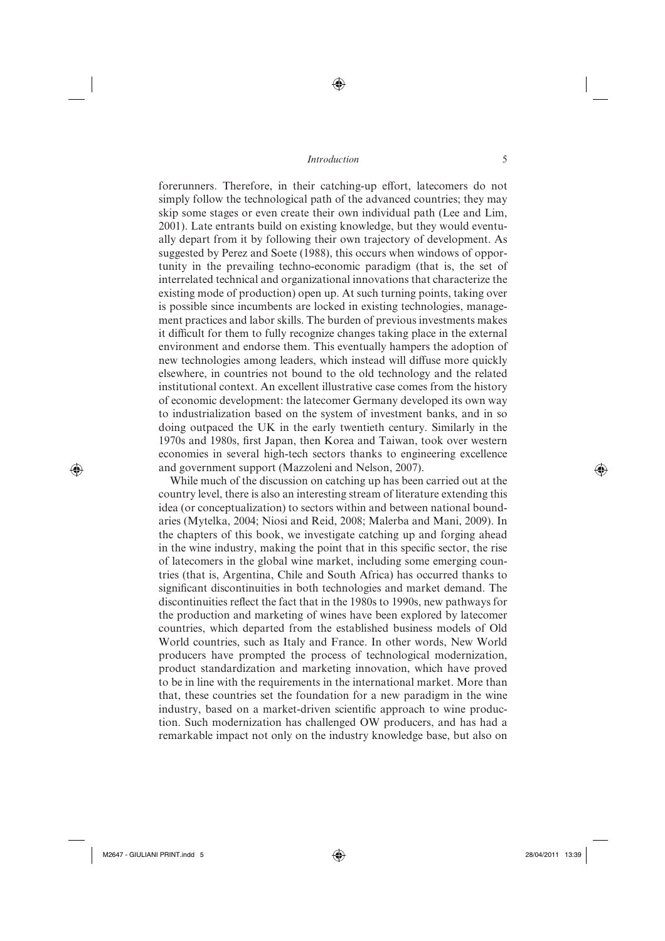$\mathscr{L}$ 

forerunners. Therefore, in their catching-up effort, latecomers do not simply follow the technological path of the advanced countries; they may skip some stages or even create their own individual path (Lee and Lim, 2001). Late entrants build on existing knowledge, but they would eventually depart from it by following their own trajectory of development. As suggested by Perez and Soete (1988), this occurs when windows of opportunity in the prevailing techno-economic paradigm (that is, the set of interrelated technical and organizational innovations that characterize the existing mode of production) open up. At such turning points, taking over is possible since incumbents are locked in existing technologies, management practices and labor skills. The burden of previous investments makes it difficult for them to fully recognize changes taking place in the external environment and endorse them. This eventually hampers the adoption of new technologies among leaders, which instead will diffuse more quickly elsewhere, in countries not bound to the old technology and the related institutional context. An excellent illustrative case comes from the history of economic development: the latecomer Germany developed its own way to industrialization based on the system of investment banks, and in so doing outpaced the UK in the early twentieth century. Similarly in the 1970s and 1980s, first Japan, then Korea and Taiwan, took over western economies in several high-tech sectors thanks to engineering excellence and government support (Mazzoleni and Nelson, 2007).

While much of the discussion on catching up has been carried out at the country level, there is also an interesting stream of literature extending this idea (or conceptualization) to sectors within and between national boundaries (Mytelka, 2004; Niosi and Reid, 2008; Malerba and Mani, 2009). In the chapters of this book, we investigate catching up and forging ahead in the wine industry, making the point that in this specific sector, the rise of latecomers in the global wine market, including some emerging countries (that is, Argentina, Chile and South Africa) has occurred thanks to significant discontinuities in both technologies and market demand. The discontinuities reflect the fact that in the 1980s to 1990s, new pathways for the production and marketing of wines have been explored by latecomer countries, which departed from the established business models of Old World countries, such as Italy and France. In other words, New World producers have prompted the process of technological modernization, product standardization and marketing innovation, which have proved to be in line with the requirements in the international market. More than that, these countries set the foundation for a new paradigm in the wine industry, based on a market-driven scientific approach to wine production. Such modernization has challenged OW producers, and has had a remarkable impact not only on the industry knowledge base, but also on

⊕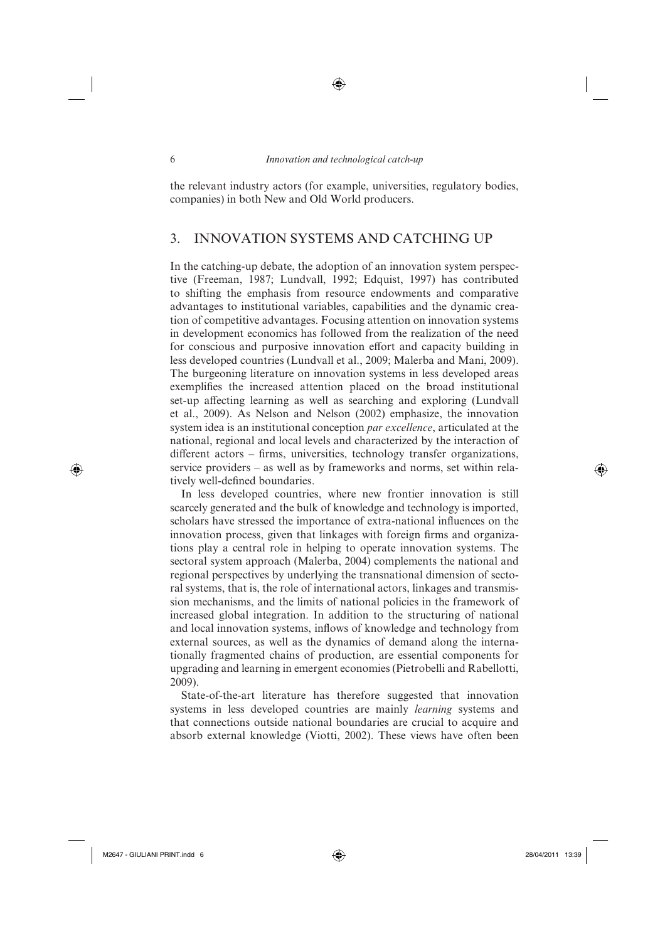$\mathscr{L}$ 

the relevant industry actors (for example, universities, regulatory bodies, companies) in both New and Old World producers.

### 3. INNOVATION SYSTEMS AND CATCHING UP

In the catching-up debate, the adoption of an innovation system perspective (Freeman, 1987; Lundvall, 1992; Edquist, 1997) has contributed to shifting the emphasis from resource endowments and comparative advantages to institutional variables, capabilities and the dynamic creation of competitive advantages. Focusing attention on innovation systems in development economics has followed from the realization of the need for conscious and purposive innovation effort and capacity building in less developed countries (Lundvall et al., 2009; Malerba and Mani, 2009). The burgeoning literature on innovation systems in less developed areas exemplifies the increased attention placed on the broad institutional set-up affecting learning as well as searching and exploring (Lundvall et al., 2009). As Nelson and Nelson (2002) emphasize, the innovation system idea is an institutional conception *par excellence*, articulated at the national, regional and local levels and characterized by the interaction of  $d$ ifferent actors – firms, universities, technology transfer organizations, service providers – as well as by frameworks and norms, set within relatively well-defined boundaries.

In less developed countries, where new frontier innovation is still scarcely generated and the bulk of knowledge and technology is imported, scholars have stressed the importance of extra-national influences on the innovation process, given that linkages with foreign firms and organizations play a central role in helping to operate innovation systems. The sectoral system approach (Malerba, 2004) complements the national and regional perspectives by underlying the transnational dimension of sectoral systems, that is, the role of international actors, linkages and transmission mechanisms, and the limits of national policies in the framework of increased global integration. In addition to the structuring of national and local innovation systems, inflows of knowledge and technology from external sources, as well as the dynamics of demand along the internationally fragmented chains of production, are essential components for upgrading and learning in emergent economies (Pietrobelli and Rabellotti, 2009).

State-of-the-art literature has therefore suggested that innovation systems in less developed countries are mainly *learning* systems and that connections outside national boundaries are crucial to acquire and absorb external knowledge (Viotti, 2002). These views have often been

⊕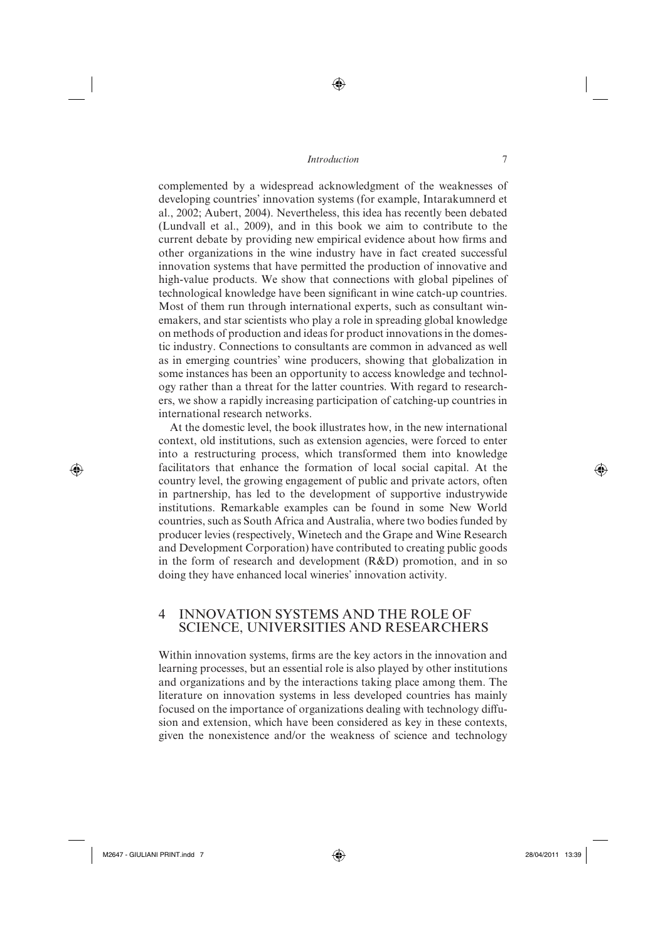$\mathscr{L}$ 

complemented by a widespread acknowledgment of the weaknesses of developing countries' innovation systems (for example, Intarakumnerd et al., 2002; Aubert, 2004). Nevertheless, this idea has recently been debated (Lundvall et al., 2009), and in this book we aim to contribute to the current debate by providing new empirical evidence about how firms and other organizations in the wine industry have in fact created successful innovation systems that have permitted the production of innovative and high-value products. We show that connections with global pipelines of technological knowledge have been significant in wine catch-up countries. Most of them run through international experts, such as consultant winemakers, and star scientists who play a role in spreading global knowledge on methods of production and ideas for product innovations in the domestic industry. Connections to consultants are common in advanced as well as in emerging countries' wine producers, showing that globalization in some instances has been an opportunity to access knowledge and technology rather than a threat for the latter countries. With regard to researchers, we show a rapidly increasing participation of catching-up countries in international research networks.

At the domestic level, the book illustrates how, in the new international context, old institutions, such as extension agencies, were forced to enter into a restructuring process, which transformed them into knowledge facilitators that enhance the formation of local social capital. At the country level, the growing engagement of public and private actors, often in partnership, has led to the development of supportive industrywide institutions. Remarkable examples can be found in some New World countries, such as South Africa and Australia, where two bodies funded by producer levies (respectively, Winetech and the Grape and Wine Research and Development Corporation) have contributed to creating public goods in the form of research and development (R&D) promotion, and in so doing they have enhanced local wineries' innovation activity.

## 4 INNOVATION SYSTEMS AND THE ROLE OF SCIENCE, UNIVERSITIES AND RESEARCHERS

Within innovation systems, firms are the key actors in the innovation and learning processes, but an essential role is also played by other institutions and organizations and by the interactions taking place among them. The literature on innovation systems in less developed countries has mainly focused on the importance of organizations dealing with technology diffusion and extension, which have been considered as key in these contexts, given the nonexistence and/or the weakness of science and technology

⊕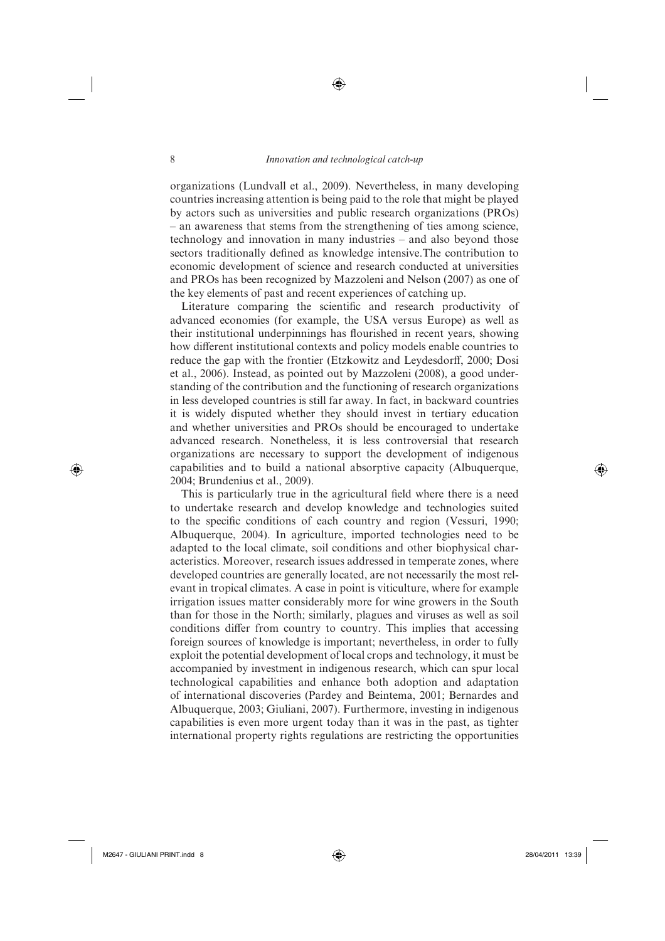organizations (Lundvall et al., 2009). Nevertheless, in many developing countries increasing attention is being paid to the role that might be played by actors such as universities and public research organizations (PROs) – an awareness that stems from the strengthening of ties among science, technology and innovation in many industries – and also beyond those sectors traditionally defined as knowledge intensive. The contribution to economic development of science and research conducted at universities and PROs has been recognized by Mazzoleni and Nelson (2007) as one of the key elements of past and recent experiences of catching up.

Literature comparing the scientific and research productivity of advanced economies (for example, the USA versus Europe) as well as their institutional underpinnings has flourished in recent years, showing how different institutional contexts and policy models enable countries to reduce the gap with the frontier (Etzkowitz and Leydesdorff, 2000; Dosi et al., 2006). Instead, as pointed out by Mazzoleni (2008), a good understanding of the contribution and the functioning of research organizations in less developed countries is still far away. In fact, in backward countries it is widely disputed whether they should invest in tertiary education and whether universities and PROs should be encouraged to undertake advanced research. Nonetheless, it is less controversial that research organizations are necessary to support the development of indigenous capabilities and to build a national absorptive capacity (Albuquerque, 2004; Brundenius et al., 2009).

This is particularly true in the agricultural field where there is a need to undertake research and develop knowledge and technologies suited to the specific conditions of each country and region (Vessuri, 1990; Albuquerque, 2004). In agriculture, imported technologies need to be adapted to the local climate, soil conditions and other biophysical characteristics. Moreover, research issues addressed in temperate zones, where developed countries are generally located, are not necessarily the most relevant in tropical climates. A case in point is viticulture, where for example irrigation issues matter considerably more for wine growers in the South than for those in the North; similarly, plagues and viruses as well as soil conditions differ from country to country. This implies that accessing foreign sources of knowledge is important; nevertheless, in order to fully exploit the potential development of local crops and technology, it must be accompanied by investment in indigenous research, which can spur local technological capabilities and enhance both adoption and adaptation of international discoveries (Pardey and Beintema, 2001; Bernardes and Albuquerque, 2003; Giuliani, 2007). Furthermore, investing in indigenous capabilities is even more urgent today than it was in the past, as tighter international property rights regulations are restricting the opportunities

⊕

⊕

 $\mathscr{L}$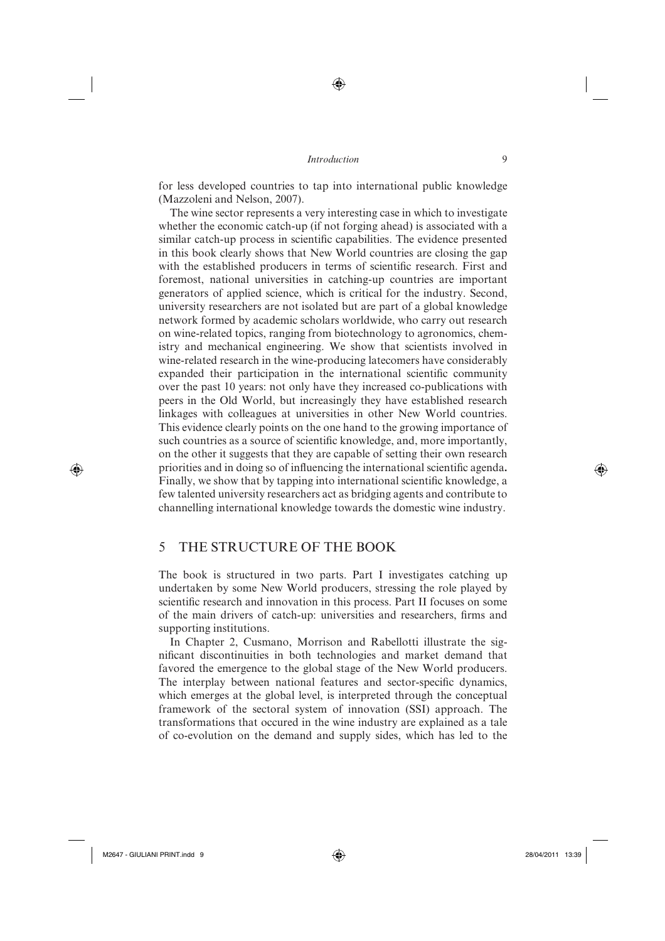$\mathscr{L}$ 

for less developed countries to tap into international public knowledge (Mazzoleni and Nelson, 2007).

The wine sector represents a very interesting case in which to investigate whether the economic catch-up (if not forging ahead) is associated with a similar catch-up process in scientific capabilities. The evidence presented in this book clearly shows that New World countries are closing the gap with the established producers in terms of scientific research. First and foremost, national universities in catching-up countries are important generators of applied science, which is critical for the industry. Second, university researchers are not isolated but are part of a global knowledge network formed by academic scholars worldwide, who carry out research on wine-related topics, ranging from biotechnology to agronomics, chemistry and mechanical engineering. We show that scientists involved in wine-related research in the wine-producing latecomers have considerably expanded their participation in the international scientific community over the past 10 years: not only have they increased co-publications with peers in the Old World, but increasingly they have established research linkages with colleagues at universities in other New World countries. This evidence clearly points on the one hand to the growing importance of such countries as a source of scientific knowledge, and, more importantly, on the other it suggests that they are capable of setting their own research priorities and in doing so of influencing the international scientific agenda. Finally, we show that by tapping into international scientific knowledge, a few talented university researchers act as bridging agents and contribute to channelling international knowledge towards the domestic wine industry.

## 5 THE STRUCTURE OF THE BOOK

The book is structured in two parts. Part I investigates catching up undertaken by some New World producers, stressing the role played by scientific research and innovation in this process. Part II focuses on some of the main drivers of catch-up: universities and researchers, firms and supporting institutions.

In Chapter 2, Cusmano, Morrison and Rabellotti illustrate the significant discontinuities in both technologies and market demand that favored the emergence to the global stage of the New World producers. The interplay between national features and sector-specific dynamics, which emerges at the global level, is interpreted through the conceptual framework of the sectoral system of innovation (SSI) approach. The transformations that occured in the wine industry are explained as a tale of co-evolution on the demand and supply sides, which has led to the

⊕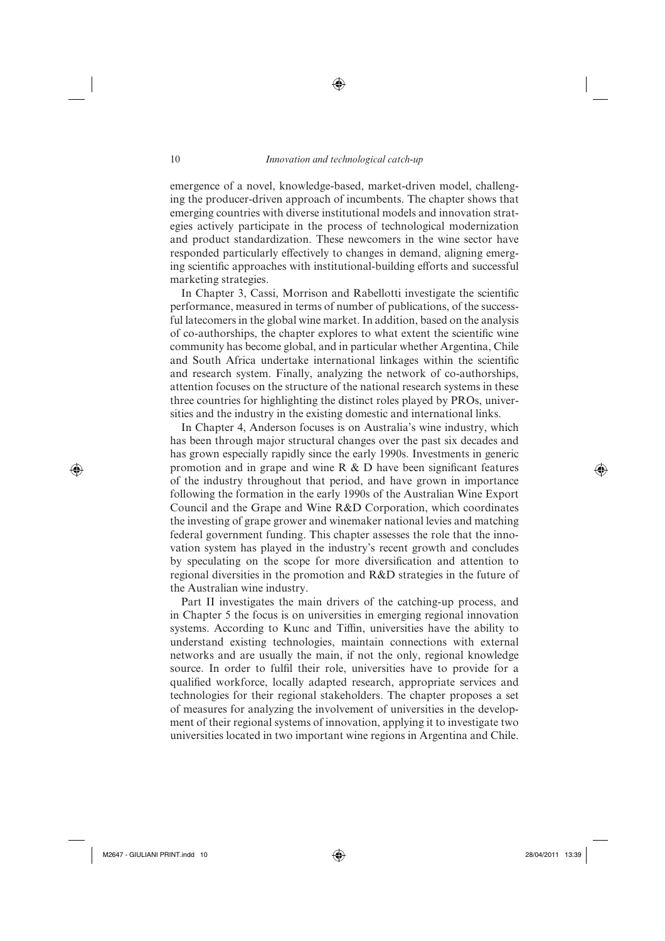$\mathscr{L}$ 

emergence of a novel, knowledge-based, market-driven model, challenging the producer-driven approach of incumbents. The chapter shows that emerging countries with diverse institutional models and innovation strategies actively participate in the process of technological modernization and product standardization. These newcomers in the wine sector have responded particularly effectively to changes in demand, aligning emerging scientific approaches with institutional-building efforts and successful marketing strategies.

In Chapter 3, Cassi, Morrison and Rabellotti investigate the scientific performance, measured in terms of number of publications, of the successful latecomers in the global wine market. In addition, based on the analysis of co-authorships, the chapter explores to what extent the scientific wine community has become global, and in particular whether Argentina, Chile and South Africa undertake international linkages within the scientific and research system. Finally, analyzing the network of co-authorships, attention focuses on the structure of the national research systems in these three countries for highlighting the distinct roles played by PROs, universities and the industry in the existing domestic and international links.

In Chapter 4, Anderson focuses is on Australia's wine industry, which has been through major structural changes over the past six decades and has grown especially rapidly since the early 1990s. Investments in generic promotion and in grape and wine  $R \& D$  have been significant features of the industry throughout that period, and have grown in importance following the formation in the early 1990s of the Australian Wine Export Council and the Grape and Wine R&D Corporation, which coordinates the investing of grape grower and winemaker national levies and matching federal government funding. This chapter assesses the role that the innovation system has played in the industry's recent growth and concludes by speculating on the scope for more diversification and attention to regional diversities in the promotion and R&D strategies in the future of the Australian wine industry.

Part II investigates the main drivers of the catching-up process, and in Chapter 5 the focus is on universities in emerging regional innovation systems. According to Kunc and Tiffin, universities have the ability to understand existing technologies, maintain connections with external networks and are usually the main, if not the only, regional knowledge source. In order to fulfil their role, universities have to provide for a qualified workforce, locally adapted research, appropriate services and technologies for their regional stakeholders. The chapter proposes a set of measures for analyzing the involvement of universities in the development of their regional systems of innovation, applying it to investigate two universities located in two important wine regions in Argentina and Chile.

⊕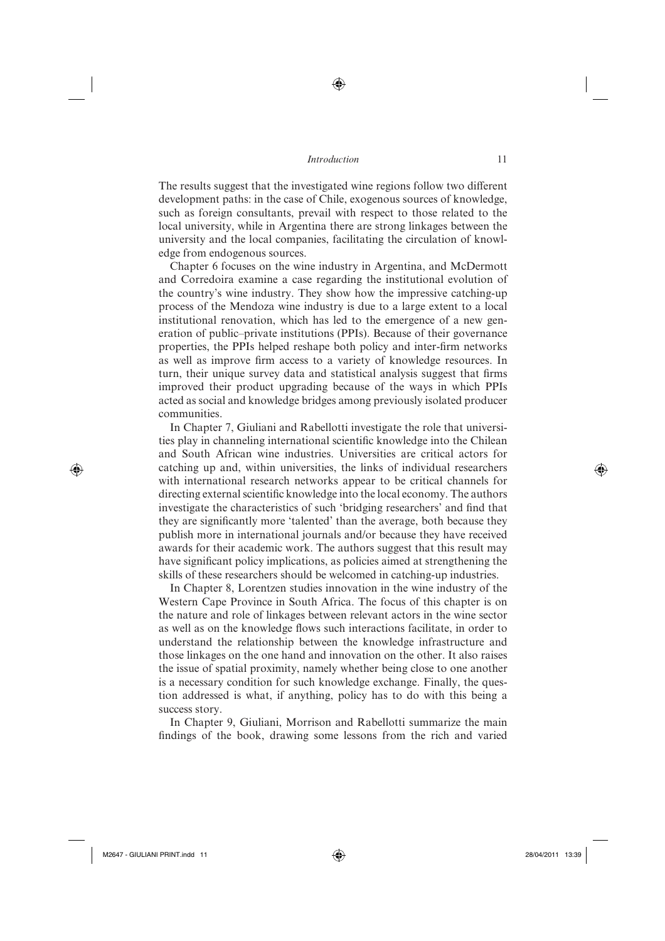$\mathscr{L}$ 

The results suggest that the investigated wine regions follow two different development paths: in the case of Chile, exogenous sources of knowledge, such as foreign consultants, prevail with respect to those related to the local university, while in Argentina there are strong linkages between the university and the local companies, facilitating the circulation of knowledge from endogenous sources.

Chapter 6 focuses on the wine industry in Argentina, and McDermott and Corredoira examine a case regarding the institutional evolution of the country's wine industry. They show how the impressive catching-up process of the Mendoza wine industry is due to a large extent to a local institutional renovation, which has led to the emergence of a new generation of public–private institutions (PPIs). Because of their governance properties, the PPIs helped reshape both policy and inter-firm networks as well as improve firm access to a variety of knowledge resources. In turn, their unique survey data and statistical analysis suggest that firms improved their product upgrading because of the ways in which PPIs acted as social and knowledge bridges among previously isolated producer communities.

In Chapter 7, Giuliani and Rabellotti investigate the role that universities play in channeling international scientific knowledge into the Chilean and South African wine industries. Universities are critical actors for catching up and, within universities, the links of individual researchers with international research networks appear to be critical channels for directing external scientific knowledge into the local economy. The authors investigate the characteristics of such 'bridging researchers' and find that they are significantly more 'talented' than the average, both because they publish more in international journals and/or because they have received awards for their academic work. The authors suggest that this result may have significant policy implications, as policies aimed at strengthening the skills of these researchers should be welcomed in catching-up industries.

In Chapter 8, Lorentzen studies innovation in the wine industry of the Western Cape Province in South Africa. The focus of this chapter is on the nature and role of linkages between relevant actors in the wine sector as well as on the knowledge flows such interactions facilitate, in order to understand the relationship between the knowledge infrastructure and those linkages on the one hand and innovation on the other. It also raises the issue of spatial proximity, namely whether being close to one another is a necessary condition for such knowledge exchange. Finally, the question addressed is what, if anything, policy has to do with this being a success story.

In Chapter 9, Giuliani, Morrison and Rabellotti summarize the main findings of the book, drawing some lessons from the rich and varied

⊕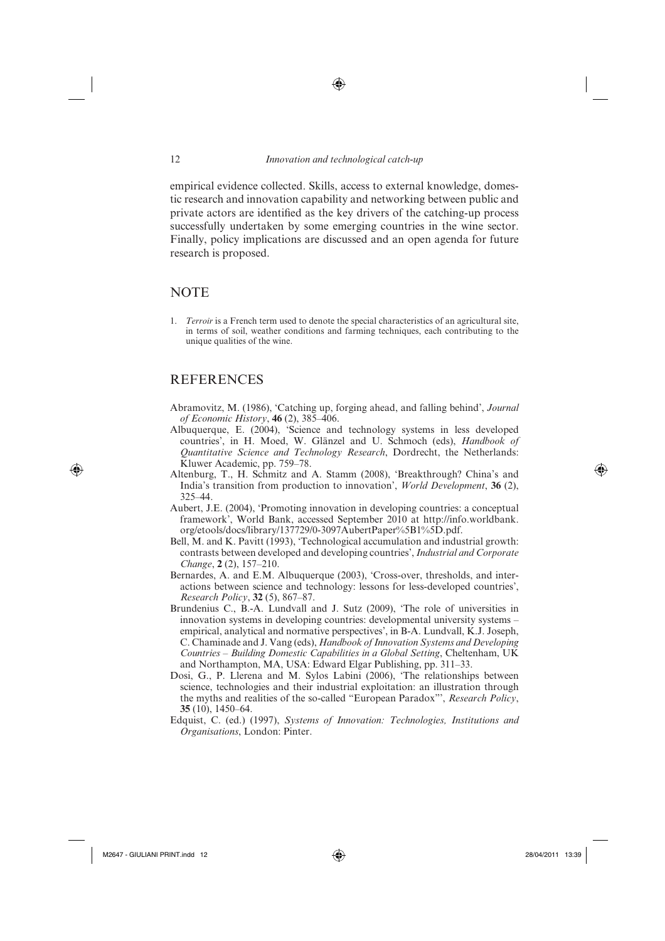$\mathscr{L}$ 

empirical evidence collected. Skills, access to external knowledge, domestic research and innovation capability and networking between public and private actors are identified as the key drivers of the catching-up process successfully undertaken by some emerging countries in the wine sector. Finally, policy implications are discussed and an open agenda for future research is proposed.

### **NOTE**

1. *Terroir* is a French term used to denote the special characteristics of an agricultural site, in terms of soil, weather conditions and farming techniques, each contributing to the unique qualities of the wine.

#### REFERENCES

- Abramovitz, M. (1986), 'Catching up, forging ahead, and falling behind', *Journal of Economic History*, **46** (2), 385–406.
- Albuquerque, E. (2004), 'Science and technology systems in less developed countries', in H. Moed, W. Glänzel and U. Schmoch (eds), *Handbook of Quantitative Science and Technology Research*, Dordrecht, the Netherlands: Kluwer Academic, pp. 759–78.
- Altenburg, T., H. Schmitz and A. Stamm (2008), 'Breakthrough? China's and India's transition from production to innovation', *World Development*, **36** (2), 325–44.
- Aubert, J.E. (2004), 'Promoting innovation in developing countries: a conceptual framework', World Bank, accessed September 2010 at http://info.worldbank. org/etools/docs/library/137729/0-3097AubertPaper%5B1%5D.pdf.
- Bell, M. and K. Pavitt (1993), 'Technological accumulation and industrial growth: contrasts between developed and developing countries', *Industrial and Corporate Change*, **2** (2), 157–210.
- Bernardes, A. and E.M. Albuquerque (2003), 'Cross-over, thresholds, and interactions between science and technology: lessons for less-developed countries', *Research Policy*, **32** (5), 867–87.
- Brundenius C., B.-A. Lundvall and J. Sutz (2009), 'The role of universities in innovation systems in developing countries: developmental university systems – empirical, analytical and normative perspectives', in B-A. Lundvall, K.J. Joseph, C. Chaminade and J. Vang (eds), *Handbook of Innovation Systems and Developing Countries – Building Domestic Capabilities in a Global Setting*, Cheltenham, UK and Northampton, MA, USA: Edward Elgar Publishing, pp. 311–33.
- Dosi, G., P. Llerena and M. Sylos Labini (2006), 'The relationships between science, technologies and their industrial exploitation: an illustration through the myths and realities of the so-called "European Paradox"', *Research Policy*, **35** (10), 1450–64.
- Edquist, C. (ed.) (1997), *Systems of Innovation: Technologies, Institutions and Organisations*, London: Pinter.

⊕

M2647 - GIULIANI PRINT.indd 12 28/04/2011 13:39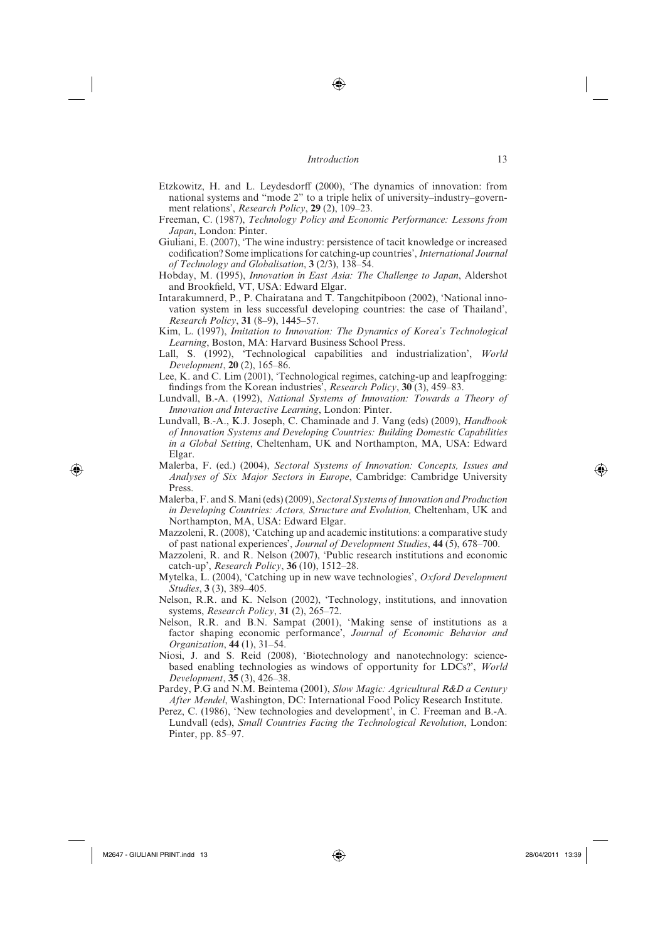$\mathscr{L}$ 

- Etzkowitz, H. and L. Leydesdorff (2000), 'The dynamics of innovation: from national systems and "mode 2" to a triple helix of university–industry–government relations', *Research Policy*, **29** (2), 109–23.
- Freeman, C. (1987), *Technology Policy and Economic Performance: Lessons from Japan*, London: Pinter.
- Giuliani, E. (2007), 'The wine industry: persistence of tacit knowledge or increased codification? Some implications for catching-up countries', *International Journal of Technology and Globalisation*, **3** (2/3), 138–54.
- Hobday, M. (1995), *Innovation in East Asia: The Challenge to Japan*, Aldershot and Brookfield, VT, USA: Edward Elgar.
- Intarakumnerd, P., P. Chairatana and T. Tangchitpiboon (2002), 'National innovation system in less successful developing countries: the case of Thailand', *Research Policy*, **31** (8–9), 1445–57.
- Kim, L. (1997), *Imitation to Innovation: The Dynamics of Korea's Technological Learning*, Boston, MA: Harvard Business School Press.
- Lall, S. (1992), 'Technological capabilities and industrialization', *World Development*, **20** (2), 165–86.
- Lee, K. and C. Lim (2001), 'Technological regimes, catching-up and leapfrogging: !ndings from the Korean industries', *Research Policy*, **30** (3), 459–83.
- Lundvall, B.-A. (1992), *National Systems of Innovation: Towards a Theory of Innovation and Interactive Learning*, London: Pinter.
- Lundvall, B.-A., K.J. Joseph, C. Chaminade and J. Vang (eds) (2009), *Handbook of Innovation Systems and Developing Countries: Building Domestic Capabilities in a Global Setting*, Cheltenham, UK and Northampton, MA, USA: Edward Elgar.
- Malerba, F. (ed.) (2004), *Sectoral Systems of Innovation: Concepts, Issues and Analyses of Six Major Sectors in Europe*, Cambridge: Cambridge University Press.
- Malerba, F. and S. Mani (eds) (2009), *Sectoral Systems of Innovation and Production in Developing Countries: Actors, Structure and Evolution,* Cheltenham, UK and Northampton, MA, USA: Edward Elgar.
- Mazzoleni, R. (2008), 'Catching up and academic institutions: a comparative study of past national experiences', *Journal of Development Studies*, **44** (5), 678–700.
- Mazzoleni, R. and R. Nelson (2007), 'Public research institutions and economic catch-up', *Research Policy*, **36** (10), 1512–28.
- Mytelka, L. (2004), 'Catching up in new wave technologies', *Oxford Development Studies*, **3** (3), 389–405.
- Nelson, R.R. and K. Nelson (2002), 'Technology, institutions, and innovation systems, *Research Policy*, **31** (2), 265–72.
- Nelson, R.R. and B.N. Sampat (2001), 'Making sense of institutions as a factor shaping economic performance', *Journal of Economic Behavior and Organization*, **44** (1), 31–54.
- Niosi, J. and S. Reid (2008), 'Biotechnology and nanotechnology: sciencebased enabling technologies as windows of opportunity for LDCs?', *World Development*, **35** (3), 426–38.
- Pardey, P.G and N.M. Beintema (2001), *Slow Magic: Agricultural R&D a Century After Mendel*, Washington, DC: International Food Policy Research Institute.
- Perez, C. (1986), 'New technologies and development', in C. Freeman and B.-A. Lundvall (eds), *Small Countries Facing the Technological Revolution*, London: Pinter, pp. 85–97.

⊕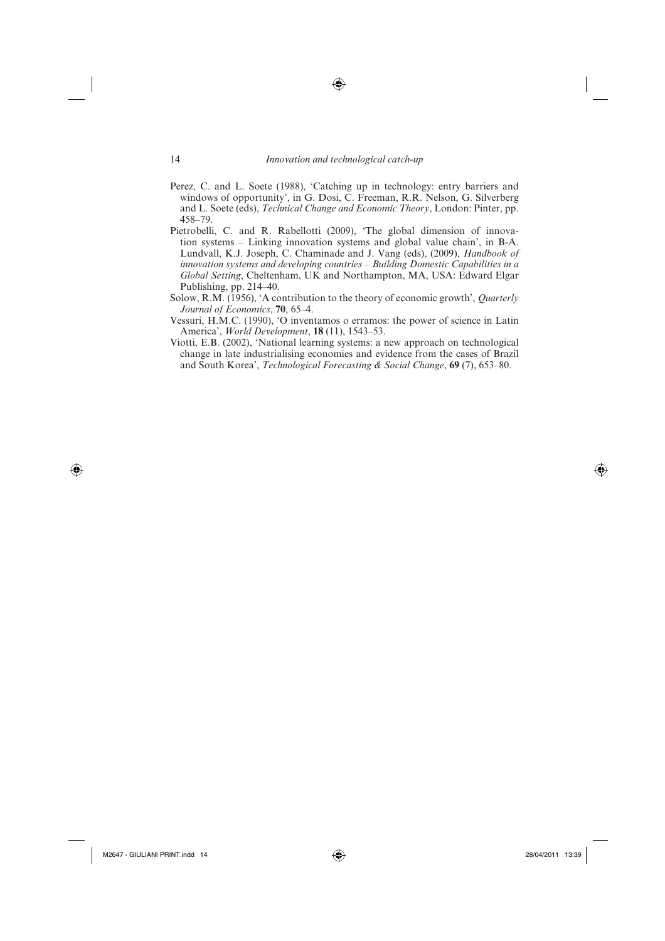$\mathscr{L}$ 

- Perez, C. and L. Soete (1988), 'Catching up in technology: entry barriers and windows of opportunity', in G. Dosi, C. Freeman, R.R. Nelson, G. Silverberg and L. Soete (eds), *Technical Change and Economic Theory*, London: Pinter, pp. 458–79.
- Pietrobelli, C. and R. Rabellotti (2009), 'The global dimension of innovation systems – Linking innovation systems and global value chain', in B-A. Lundvall, K.J. Joseph, C. Chaminade and J. Vang (eds), (2009), *Handbook of innovation systems and developing countries – Building Domestic Capabilities in a Global Setting*, Cheltenham, UK and Northampton, MA, USA: Edward Elgar Publishing, pp. 214–40.
- Solow, R.M. (1956), 'A contribution to the theory of economic growth', *Quarterly Journal of Economics*, **70**, 65–4.
- Vessuri, H.M.C. (1990), 'O inventamos o erramos: the power of science in Latin America', *World Development*, **18** (11), 1543–53.
- Viotti, E.B. (2002), 'National learning systems: a new approach on technological change in late industrialising economies and evidence from the cases of Brazil and South Korea', *Technological Forecasting & Social Change*, **69** (7), 653–80.

 $\bigoplus$ 

 $\bigoplus$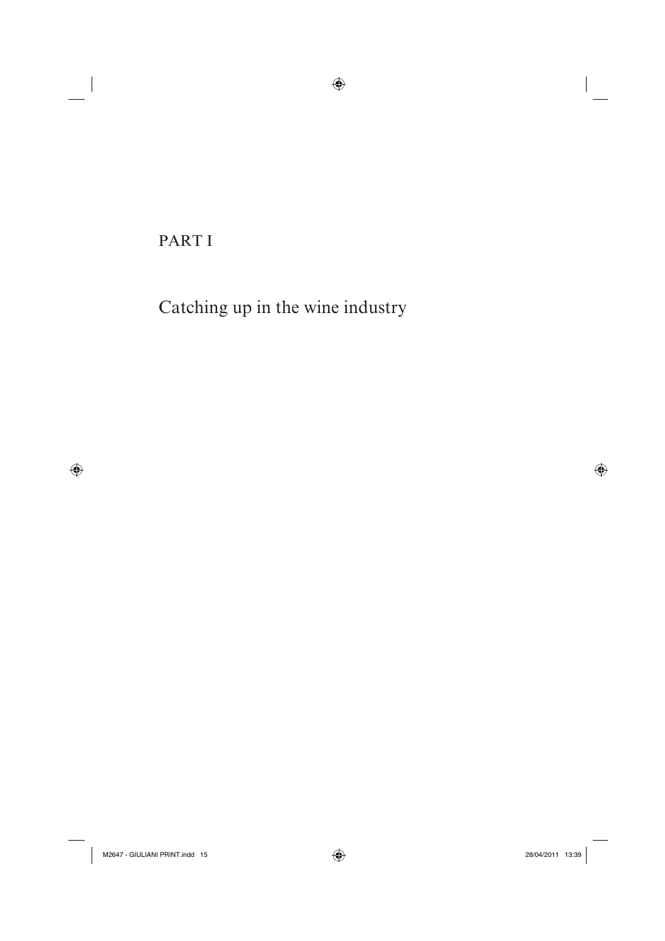PART I

Catching up in the wine industry

 $\bigoplus$ 

M2647 - GIULIANI PRINT.indd 15 28/04/2011 13:39

 $\bigoplus$